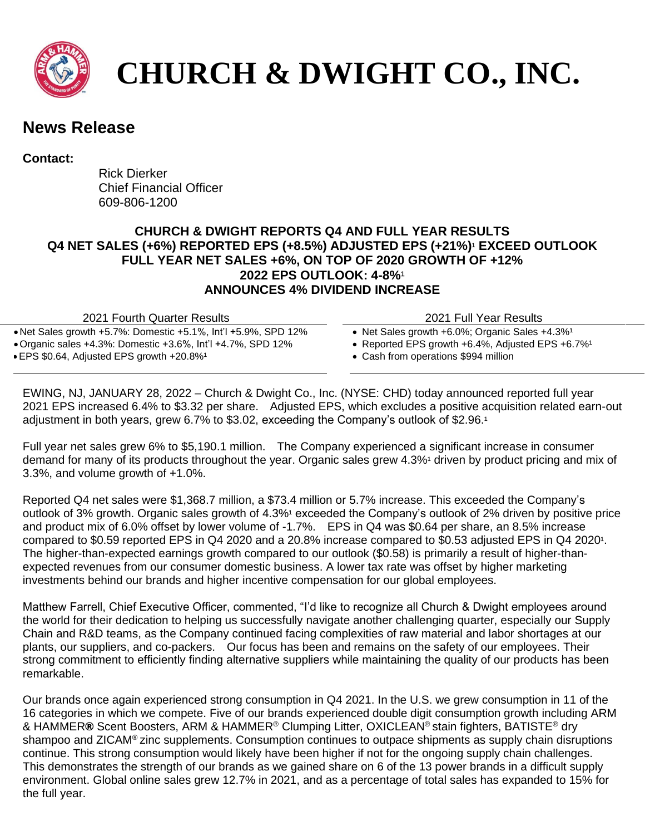

# **CHURCH & DWIGHT CO., INC.**

# **News Release**

## **Contact:**

Rick Dierker Chief Financial Officer 609-806-1200

## **CHURCH & DWIGHT REPORTS Q4 AND FULL YEAR RESULTS Q4 NET SALES (+6%) REPORTED EPS (+8.5%) ADJUSTED EPS (+21%)**¹ **EXCEED OUTLOOK FULL YEAR NET SALES +6%, ON TOP OF 2020 GROWTH OF +12% 2022 EPS OUTLOOK: 4-8%1 ANNOUNCES 4% DIVIDEND INCREASE**

| 2021 Fourth Quarter Results                                      | 2021 Full Year Results                                     |
|------------------------------------------------------------------|------------------------------------------------------------|
| • Net Sales growth +5.7%: Domestic +5.1%, Int'l +5.9%, SPD 12%   | • Net Sales growth +6.0%; Organic Sales +4.3% <sup>1</sup> |
| ● Organic sales +4.3%: Domestic +3.6%, Int'l +4.7%, SPD 12%      | • Reported EPS growth $+6.4\%$ , Adjusted EPS $+6$         |
| $\blacktriangle$ EDS $$0.61$ Adjusted EDS arouth $\pm 20.89\%$ 1 | • Cach from operations \$004 million                       |

 $\mathsf{E}\mathsf{PS}$  \$0.64, Adjusted EPS growth +20.8% $^{\mathsf{t}}$ 

 $8 + 6.7\%$ <sup>1</sup>

• Cash from operations \$994 million

EWING, NJ, JANUARY 28, 2022 – Church & Dwight Co., Inc. (NYSE: CHD) today announced reported full year 2021 EPS increased 6.4% to \$3.32 per share. Adjusted EPS, which excludes a positive acquisition related earn-out adjustment in both years, grew 6.7% to \$3.02, exceeding the Company's outlook of \$2.96.1

Full year net sales grew 6% to \$5,190.1 million. The Company experienced a significant increase in consumer demand for many of its products throughout the year. Organic sales grew 4.3%<sup>1</sup> driven by product pricing and mix of 3.3%, and volume growth of +1.0%.

Reported Q4 net sales were \$1,368.7 million, a \$73.4 million or 5.7% increase. This exceeded the Company's outlook of 3% growth. Organic sales growth of 4.3%<sup>1</sup> exceeded the Company's outlook of 2% driven by positive price and product mix of 6.0% offset by lower volume of -1.7%. EPS in Q4 was \$0.64 per share, an 8.5% increase compared to \$0.59 reported EPS in Q4 2020 and a 20.8% increase compared to \$0.53 adjusted EPS in Q4 2020<sup>1</sup>. The higher-than-expected earnings growth compared to our outlook (\$0.58) is primarily a result of higher-thanexpected revenues from our consumer domestic business. A lower tax rate was offset by higher marketing investments behind our brands and higher incentive compensation for our global employees.

Matthew Farrell, Chief Executive Officer, commented, "I'd like to recognize all Church & Dwight employees around the world for their dedication to helping us successfully navigate another challenging quarter, especially our Supply Chain and R&D teams, as the Company continued facing complexities of raw material and labor shortages at our plants, our suppliers, and co-packers. Our focus has been and remains on the safety of our employees. Their strong commitment to efficiently finding alternative suppliers while maintaining the quality of our products has been remarkable.

Our brands once again experienced strong consumption in Q4 2021. In the U.S. we grew consumption in 11 of the 16 categories in which we compete. Five of our brands experienced double digit consumption growth including ARM & HAMMER® Scent Boosters, ARM & HAMMER® Clumping Litter, OXICLEAN® stain fighters, BATISTE® dry shampoo and ZICAM® zinc supplements. Consumption continues to outpace shipments as supply chain disruptions continue. This strong consumption would likely have been higher if not for the ongoing supply chain challenges. This demonstrates the strength of our brands as we gained share on 6 of the 13 power brands in a difficult supply environment. Global online sales grew 12.7% in 2021, and as a percentage of total sales has expanded to 15% for the full year.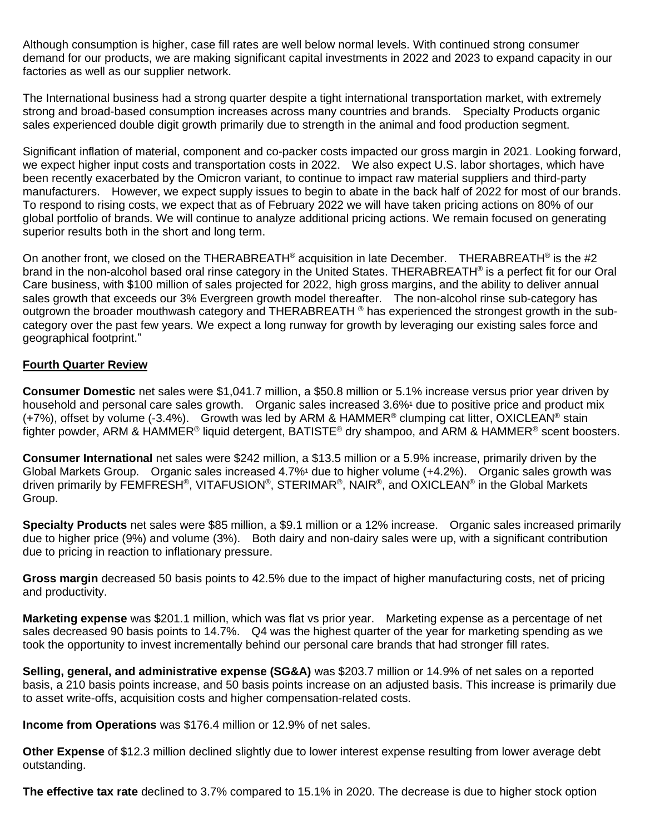Although consumption is higher, case fill rates are well below normal levels. With continued strong consumer demand for our products, we are making significant capital investments in 2022 and 2023 to expand capacity in our factories as well as our supplier network.

The International business had a strong quarter despite a tight international transportation market, with extremely strong and broad-based consumption increases across many countries and brands. Specialty Products organic sales experienced double digit growth primarily due to strength in the animal and food production segment.

Significant inflation of material, component and co-packer costs impacted our gross margin in 2021. Looking forward, we expect higher input costs and transportation costs in 2022. We also expect U.S. labor shortages, which have been recently exacerbated by the Omicron variant, to continue to impact raw material suppliers and third-party manufacturers. However, we expect supply issues to begin to abate in the back half of 2022 for most of our brands. To respond to rising costs, we expect that as of February 2022 we will have taken pricing actions on 80% of our global portfolio of brands. We will continue to analyze additional pricing actions. We remain focused on generating superior results both in the short and long term.

On another front, we closed on the THERABREATH® acquisition in late December. THERABREATH® is the #2 brand in the non-alcohol based oral rinse category in the United States. THERABREATH® is a perfect fit for our Oral Care business, with \$100 million of sales projected for 2022, high gross margins, and the ability to deliver annual sales growth that exceeds our 3% Evergreen growth model thereafter. The non-alcohol rinse sub-category has outgrown the broader mouthwash category and THERABREATH ® has experienced the strongest growth in the subcategory over the past few years. We expect a long runway for growth by leveraging our existing sales force and geographical footprint."

## **Fourth Quarter Review**

**Consumer Domestic** net sales were \$1,041.7 million, a \$50.8 million or 5.1% increase versus prior year driven by household and personal care sales growth. Organic sales increased 3.6%<sup>1</sup> due to positive price and product mix  $(+7%)$ , offset by volume (-3.4%). Growth was led by ARM & HAMMER<sup>®</sup> clumping cat litter, OXICLEAN<sup>®</sup> stain fighter powder, ARM & HAMMER® liquid detergent, BATISTE® dry shampoo, and ARM & HAMMER® scent boosters.

**Consumer International** net sales were \$242 million, a \$13.5 million or a 5.9% increase, primarily driven by the Global Markets Group. Organic sales increased 4.7%<sup>1</sup> due to higher volume (+4.2%). Organic sales growth was driven primarily by FEMFRESH®, VITAFUSION®, STERIMAR®, NAIR®, and OXICLEAN® in the Global Markets Group.

**Specialty Products** net sales were \$85 million, a \$9.1 million or a 12% increase. Organic sales increased primarily due to higher price (9%) and volume (3%). Both dairy and non-dairy sales were up, with a significant contribution due to pricing in reaction to inflationary pressure.

**Gross margin** decreased 50 basis points to 42.5% due to the impact of higher manufacturing costs, net of pricing and productivity.

**Marketing expense** was \$201.1 million, which was flat vs prior year. Marketing expense as a percentage of net sales decreased 90 basis points to 14.7%. Q4 was the highest quarter of the year for marketing spending as we took the opportunity to invest incrementally behind our personal care brands that had stronger fill rates.

**Selling, general, and administrative expense (SG&A)** was \$203.7 million or 14.9% of net sales on a reported basis, a 210 basis points increase, and 50 basis points increase on an adjusted basis. This increase is primarily due to asset write-offs, acquisition costs and higher compensation-related costs.

**Income from Operations** was \$176.4 million or 12.9% of net sales.

**Other Expense** of \$12.3 million declined slightly due to lower interest expense resulting from lower average debt outstanding.

**The effective tax rate** declined to 3.7% compared to 15.1% in 2020. The decrease is due to higher stock option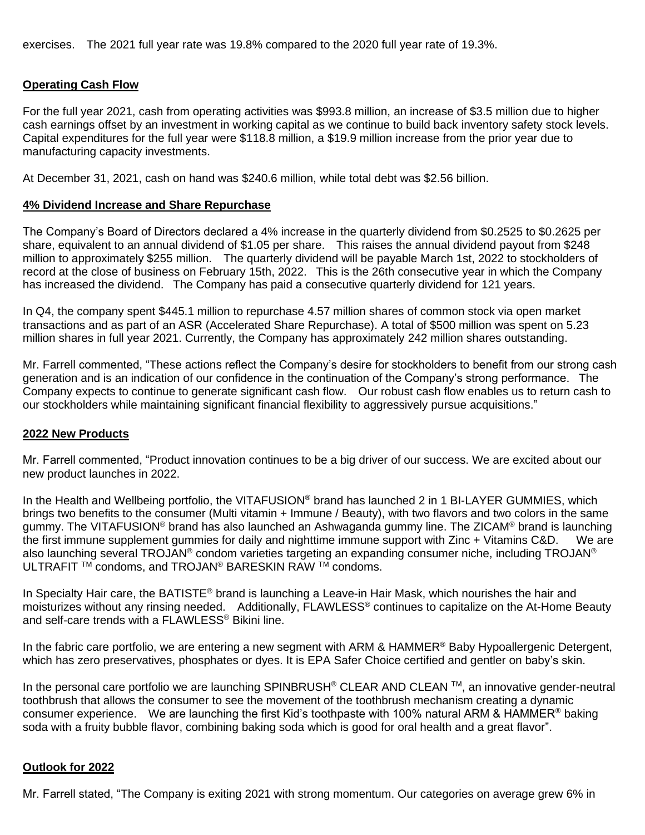exercises. The 2021 full year rate was 19.8% compared to the 2020 full year rate of 19.3%.

## **Operating Cash Flow**

For the full year 2021, cash from operating activities was \$993.8 million, an increase of \$3.5 million due to higher cash earnings offset by an investment in working capital as we continue to build back inventory safety stock levels. Capital expenditures for the full year were \$118.8 million, a \$19.9 million increase from the prior year due to manufacturing capacity investments.

At December 31, 2021, cash on hand was \$240.6 million, while total debt was \$2.56 billion.

#### **4% Dividend Increase and Share Repurchase**

The Company's Board of Directors declared a 4% increase in the quarterly dividend from \$0.2525 to \$0.2625 per share, equivalent to an annual dividend of \$1.05 per share. This raises the annual dividend payout from \$248 million to approximately \$255 million. The quarterly dividend will be payable March 1st, 2022 to stockholders of record at the close of business on February 15th, 2022. This is the 26th consecutive year in which the Company has increased the dividend. The Company has paid a consecutive quarterly dividend for 121 years.

In Q4, the company spent \$445.1 million to repurchase 4.57 million shares of common stock via open market transactions and as part of an ASR (Accelerated Share Repurchase). A total of \$500 million was spent on 5.23 million shares in full year 2021. Currently, the Company has approximately 242 million shares outstanding.

Mr. Farrell commented, "These actions reflect the Company's desire for stockholders to benefit from our strong cash generation and is an indication of our confidence in the continuation of the Company's strong performance. The Company expects to continue to generate significant cash flow. Our robust cash flow enables us to return cash to our stockholders while maintaining significant financial flexibility to aggressively pursue acquisitions."

#### **2022 New Products**

Mr. Farrell commented, "Product innovation continues to be a big driver of our success. We are excited about our new product launches in 2022.

In the Health and Wellbeing portfolio, the VITAFUSION® brand has launched 2 in 1 BI-LAYER GUMMIES, which brings two benefits to the consumer (Multi vitamin + Immune / Beauty), with two flavors and two colors in the same gummy. The VITAFUSION® brand has also launched an Ashwaganda gummy line. The ZICAM® brand is launching the first immune supplement gummies for daily and nighttime immune support with Zinc + Vitamins C&D. We are also launching several TROJAN® condom varieties targeting an expanding consumer niche, including TROJAN® ULTRAFIT TM condoms, and TROJAN<sup>®</sup> BARESKIN RAW TM condoms.

In Specialty Hair care, the BATISTE<sup>®</sup> brand is launching a Leave-in Hair Mask, which nourishes the hair and moisturizes without any rinsing needed. Additionally, FLAWLESS® continues to capitalize on the At-Home Beauty and self-care trends with a FLAWLESS® Bikini line.

In the fabric care portfolio, we are entering a new segment with ARM & HAMMER<sup>®</sup> Baby Hypoallergenic Detergent, which has zero preservatives, phosphates or dyes. It is EPA Safer Choice certified and gentler on baby's skin.

In the personal care portfolio we are launching SPINBRUSH<sup>®</sup> CLEAR AND CLEAN ™, an innovative gender-neutral toothbrush that allows the consumer to see the movement of the toothbrush mechanism creating a dynamic consumer experience. We are launching the first Kid's toothpaste with 100% natural ARM & HAMMER® baking soda with a fruity bubble flavor, combining baking soda which is good for oral health and a great flavor".

#### **Outlook for 2022**

Mr. Farrell stated, "The Company is exiting 2021 with strong momentum. Our categories on average grew 6% in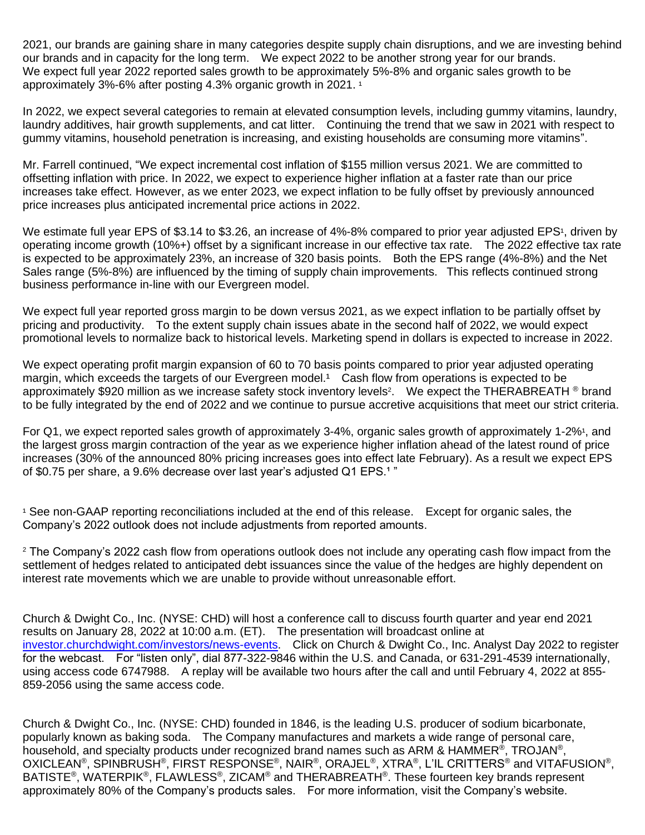2021, our brands are gaining share in many categories despite supply chain disruptions, and we are investing behind our brands and in capacity for the long term. We expect 2022 to be another strong year for our brands. We expect full year 2022 reported sales growth to be approximately 5%-8% and organic sales growth to be approximately 3%-6% after posting 4.3% organic growth in 2021.<sup>1</sup>

In 2022, we expect several categories to remain at elevated consumption levels, including gummy vitamins, laundry, laundry additives, hair growth supplements, and cat litter. Continuing the trend that we saw in 2021 with respect to gummy vitamins, household penetration is increasing, and existing households are consuming more vitamins".

Mr. Farrell continued, "We expect incremental cost inflation of \$155 million versus 2021. We are committed to offsetting inflation with price. In 2022, we expect to experience higher inflation at a faster rate than our price increases take effect. However, as we enter 2023, we expect inflation to be fully offset by previously announced price increases plus anticipated incremental price actions in 2022.

We estimate full year EPS of \$3.14 to \$3.26, an increase of 4%-8% compared to prior year adjusted EPS<sup>1</sup>, driven by operating income growth (10%+) offset by a significant increase in our effective tax rate. The 2022 effective tax rate is expected to be approximately 23%, an increase of 320 basis points. Both the EPS range (4%-8%) and the Net Sales range (5%-8%) are influenced by the timing of supply chain improvements. This reflects continued strong business performance in-line with our Evergreen model.

We expect full year reported gross margin to be down versus 2021, as we expect inflation to be partially offset by pricing and productivity. To the extent supply chain issues abate in the second half of 2022, we would expect promotional levels to normalize back to historical levels. Marketing spend in dollars is expected to increase in 2022.

We expect operating profit margin expansion of 60 to 70 basis points compared to prior year adjusted operating margin, which exceeds the targets of our Evergreen model.<sup>1</sup> Cash flow from operations is expected to be approximately \$920 million as we increase safety stock inventory levels<sup>2</sup>. We expect the THERABREATH ® brand to be fully integrated by the end of 2022 and we continue to pursue accretive acquisitions that meet our strict criteria.

For Q1, we expect reported sales growth of approximately 3-4%, organic sales growth of approximately 1-2%<sup>1</sup>, and the largest gross margin contraction of the year as we experience higher inflation ahead of the latest round of price increases (30% of the announced 80% pricing increases goes into effect late February). As a result we expect EPS of \$0.75 per share, a 9.6% decrease over last year's adjusted Q1 EPS.<sup>1</sup>"

<sup>1</sup> See non-GAAP reporting reconciliations included at the end of this release. Except for organic sales, the Company's 2022 outlook does not include adjustments from reported amounts.

<sup>2</sup> The Company's 2022 cash flow from operations outlook does not include any operating cash flow impact from the settlement of hedges related to anticipated debt issuances since the value of the hedges are highly dependent on interest rate movements which we are unable to provide without unreasonable effort.

Church & Dwight Co., Inc. (NYSE: CHD) will host a conference call to discuss fourth quarter and year end 2021 results on January 28, 2022 at 10:00 a.m. (ET). The presentation will broadcast online at [investor.churchdwight.com/investors/news-events.](http://investor.churchdwight.com/investors/news-events) Click on Church & Dwight Co., Inc. Analyst Day 2022 to register for the webcast. For "listen only", dial 877-322-9846 within the U.S. and Canada, or 631-291-4539 internationally, using access code 6747988. A replay will be available two hours after the call and until February 4, 2022 at 855- 859-2056 using the same access code.

Church & Dwight Co., Inc. (NYSE: CHD) founded in 1846, is the leading U.S. producer of sodium bicarbonate, popularly known as baking soda. The Company manufactures and markets a wide range of personal care, household, and specialty products under recognized brand names such as ARM & HAMMER®, TROJAN®, OXICLEAN®, SPINBRUSH®, FIRST RESPONSE®, NAIR®, ORAJEL®, XTRA®, L'IL CRITTERS® and VITAFUSION®, BATISTE®, WATERPIK®, FLAWLESS®, ZICAM® and THERABREATH®. These fourteen key brands represent approximately 80% of the Company's products sales. For more information, visit the Company's website.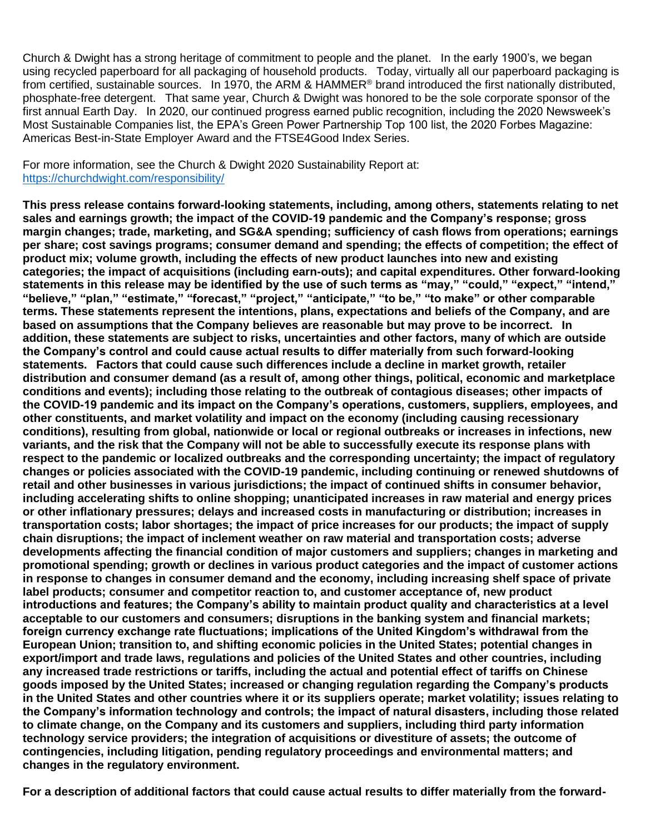Church & Dwight has a strong heritage of commitment to people and the planet. In the early 1900's, we began using recycled paperboard for all packaging of household products. Today, virtually all our paperboard packaging is from certified, sustainable sources. In 1970, the ARM & HAMMER® brand introduced the first nationally distributed, phosphate-free detergent. That same year, Church & Dwight was honored to be the sole corporate sponsor of the first annual Earth Day. In 2020, our continued progress earned public recognition, including the 2020 Newsweek's Most Sustainable Companies list, the EPA's Green Power Partnership Top 100 list, the 2020 Forbes Magazine: Americas Best-in-State Employer Award and the FTSE4Good Index Series.

For more information, see the Church & Dwight 2020 Sustainability Report at: <https://churchdwight.com/responsibility/>

**This press release contains forward-looking statements, including, among others, statements relating to net sales and earnings growth; the impact of the COVID-19 pandemic and the Company's response; gross margin changes; trade, marketing, and SG&A spending; sufficiency of cash flows from operations; earnings per share; cost savings programs; consumer demand and spending; the effects of competition; the effect of product mix; volume growth, including the effects of new product launches into new and existing categories; the impact of acquisitions (including earn-outs); and capital expenditures. Other forward-looking statements in this release may be identified by the use of such terms as "may," "could," "expect," "intend," "believe," "plan," "estimate," "forecast," "project," "anticipate," "to be," "to make" or other comparable terms. These statements represent the intentions, plans, expectations and beliefs of the Company, and are based on assumptions that the Company believes are reasonable but may prove to be incorrect. In addition, these statements are subject to risks, uncertainties and other factors, many of which are outside the Company's control and could cause actual results to differ materially from such forward-looking statements. Factors that could cause such differences include a decline in market growth, retailer distribution and consumer demand (as a result of, among other things, political, economic and marketplace conditions and events); including those relating to the outbreak of contagious diseases; other impacts of the COVID-19 pandemic and its impact on the Company's operations, customers, suppliers, employees, and other constituents, and market volatility and impact on the economy (including causing recessionary conditions), resulting from global, nationwide or local or regional outbreaks or increases in infections, new variants, and the risk that the Company will not be able to successfully execute its response plans with respect to the pandemic or localized outbreaks and the corresponding uncertainty; the impact of regulatory changes or policies associated with the COVID-19 pandemic, including continuing or renewed shutdowns of retail and other businesses in various jurisdictions; the impact of continued shifts in consumer behavior, including accelerating shifts to online shopping; unanticipated increases in raw material and energy prices or other inflationary pressures; delays and increased costs in manufacturing or distribution; increases in transportation costs; labor shortages; the impact of price increases for our products; the impact of supply chain disruptions; the impact of inclement weather on raw material and transportation costs; adverse developments affecting the financial condition of major customers and suppliers; changes in marketing and promotional spending; growth or declines in various product categories and the impact of customer actions in response to changes in consumer demand and the economy, including increasing shelf space of private label products; consumer and competitor reaction to, and customer acceptance of, new product introductions and features; the Company's ability to maintain product quality and characteristics at a level acceptable to our customers and consumers; disruptions in the banking system and financial markets; foreign currency exchange rate fluctuations; implications of the United Kingdom's withdrawal from the European Union; transition to, and shifting economic policies in the United States; potential changes in export/import and trade laws, regulations and policies of the United States and other countries, including any increased trade restrictions or tariffs, including the actual and potential effect of tariffs on Chinese goods imposed by the United States; increased or changing regulation regarding the Company's products in the United States and other countries where it or its suppliers operate; market volatility; issues relating to the Company's information technology and controls; the impact of natural disasters, including those related to climate change, on the Company and its customers and suppliers, including third party information technology service providers; the integration of acquisitions or divestiture of assets; the outcome of contingencies, including litigation, pending regulatory proceedings and environmental matters; and changes in the regulatory environment.**

**For a description of additional factors that could cause actual results to differ materially from the forward-**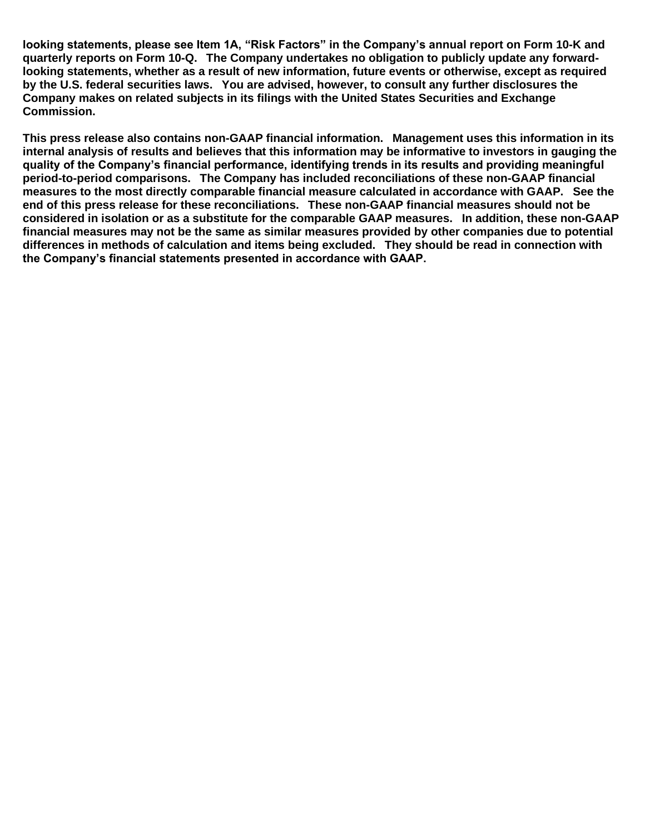**looking statements, please see Item 1A, "Risk Factors" in the Company's annual report on Form 10-K and quarterly reports on Form 10-Q. The Company undertakes no obligation to publicly update any forwardlooking statements, whether as a result of new information, future events or otherwise, except as required by the U.S. federal securities laws. You are advised, however, to consult any further disclosures the Company makes on related subjects in its filings with the United States Securities and Exchange Commission.**

**This press release also contains non-GAAP financial information. Management uses this information in its internal analysis of results and believes that this information may be informative to investors in gauging the quality of the Company's financial performance, identifying trends in its results and providing meaningful period-to-period comparisons. The Company has included reconciliations of these non-GAAP financial measures to the most directly comparable financial measure calculated in accordance with GAAP. See the end of this press release for these reconciliations. These non-GAAP financial measures should not be considered in isolation or as a substitute for the comparable GAAP measures. In addition, these non-GAAP financial measures may not be the same as similar measures provided by other companies due to potential differences in methods of calculation and items being excluded. They should be read in connection with the Company's financial statements presented in accordance with GAAP.**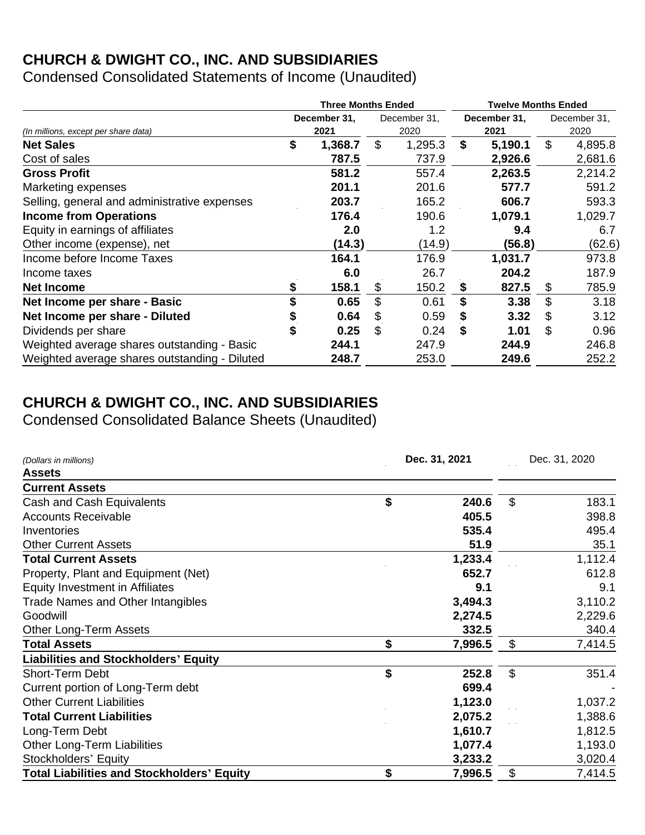# **CHURCH & DWIGHT CO., INC. AND SUBSIDIARIES**

Condensed Consolidated Statements of Income (Unaudited)

|                                               | <b>Three Months Ended</b> |              |                |              |    | <b>Twelve Months Ended</b> |                |              |  |
|-----------------------------------------------|---------------------------|--------------|----------------|--------------|----|----------------------------|----------------|--------------|--|
|                                               |                           | December 31, |                | December 31, |    | December 31,               |                | December 31, |  |
| (In millions, except per share data)          |                           | 2021         |                | 2020         |    | 2021                       | 2020           |              |  |
| <b>Net Sales</b>                              | \$                        | 1,368.7      | \$             | 1,295.3      | \$ | 5,190.1                    | $\mathfrak{L}$ | 4,895.8      |  |
| Cost of sales                                 |                           | 787.5        |                | 737.9        |    | 2,926.6                    |                | 2,681.6      |  |
| <b>Gross Profit</b>                           |                           | 581.2        |                | 557.4        |    | 2,263.5                    |                | 2,214.2      |  |
| Marketing expenses                            |                           | 201.1        |                | 201.6        |    | 577.7                      |                | 591.2        |  |
| Selling, general and administrative expenses  |                           | 203.7        |                | 165.2        |    | 606.7                      |                | 593.3        |  |
| <b>Income from Operations</b>                 |                           | 176.4        |                | 190.6        |    | 1,079.1                    |                | 1,029.7      |  |
| Equity in earnings of affiliates              |                           | 2.0          |                | 1.2          |    | 9.4                        |                | 6.7          |  |
| Other income (expense), net                   |                           | (14.3)       |                | (14.9)       |    | (56.8)                     |                | (62.6)       |  |
| Income before Income Taxes                    |                           | 164.1        |                | 176.9        |    | 1,031.7                    |                | 973.8        |  |
| Income taxes                                  |                           | 6.0          |                | 26.7         |    | 204.2                      |                | 187.9        |  |
| <b>Net Income</b>                             | \$                        | 158.1        | $\mathfrak{S}$ | 150.2        | S  | 827.5                      | \$             | 785.9        |  |
| Net Income per share - Basic                  |                           | 0.65         | \$             | 0.61         |    | 3.38                       | \$             | 3.18         |  |
| Net Income per share - Diluted                |                           | 0.64         | \$             | 0.59         |    | 3.32                       | \$             | 3.12         |  |
| Dividends per share                           | \$                        | 0.25         | \$             | 0.24         | \$ | 1.01                       | $\mathfrak{L}$ | 0.96         |  |
| Weighted average shares outstanding - Basic   |                           | 244.1        |                | 247.9        |    | 244.9                      |                | 246.8        |  |
| Weighted average shares outstanding - Diluted |                           | 248.7        |                | 253.0        |    | 249.6                      |                | 252.2        |  |

# **CHURCH & DWIGHT CO., INC. AND SUBSIDIARIES**

Condensed Consolidated Balance Sheets (Unaudited)

| (Dollars in millions)                             | Dec. 31, 2021 | Dec. 31, 2020 |                |         |
|---------------------------------------------------|---------------|---------------|----------------|---------|
| <b>Assets</b>                                     |               |               |                |         |
| <b>Current Assets</b>                             |               |               |                |         |
| Cash and Cash Equivalents                         | \$            | 240.6         | \$             | 183.1   |
| <b>Accounts Receivable</b>                        |               | 405.5         |                | 398.8   |
| Inventories                                       |               | 535.4         |                | 495.4   |
| <b>Other Current Assets</b>                       |               | 51.9          |                | 35.1    |
| <b>Total Current Assets</b>                       |               | 1,233.4       |                | 1,112.4 |
| Property, Plant and Equipment (Net)               |               | 652.7         |                | 612.8   |
| Equity Investment in Affiliates                   |               | 9.1           |                | 9.1     |
| Trade Names and Other Intangibles                 |               | 3,494.3       |                | 3,110.2 |
| Goodwill                                          |               | 2,274.5       |                | 2,229.6 |
| <b>Other Long-Term Assets</b>                     |               | 332.5         |                | 340.4   |
| <b>Total Assets</b>                               | \$            | 7,996.5       | S              | 7,414.5 |
| <b>Liabilities and Stockholders' Equity</b>       |               |               |                |         |
| <b>Short-Term Debt</b>                            | \$            | 252.8         | $\mathfrak{L}$ | 351.4   |
| Current portion of Long-Term debt                 |               | 699.4         |                |         |
| <b>Other Current Liabilities</b>                  |               | 1,123.0       |                | 1,037.2 |
| <b>Total Current Liabilities</b>                  |               | 2,075.2       |                | 1,388.6 |
| Long-Term Debt                                    |               | 1,610.7       |                | 1,812.5 |
| <b>Other Long-Term Liabilities</b>                |               | 1,077.4       |                | 1,193.0 |
| Stockholders' Equity                              |               | 3,233.2       |                | 3,020.4 |
| <b>Total Liabilities and Stockholders' Equity</b> | \$            | 7,996.5       | \$             | 7,414.5 |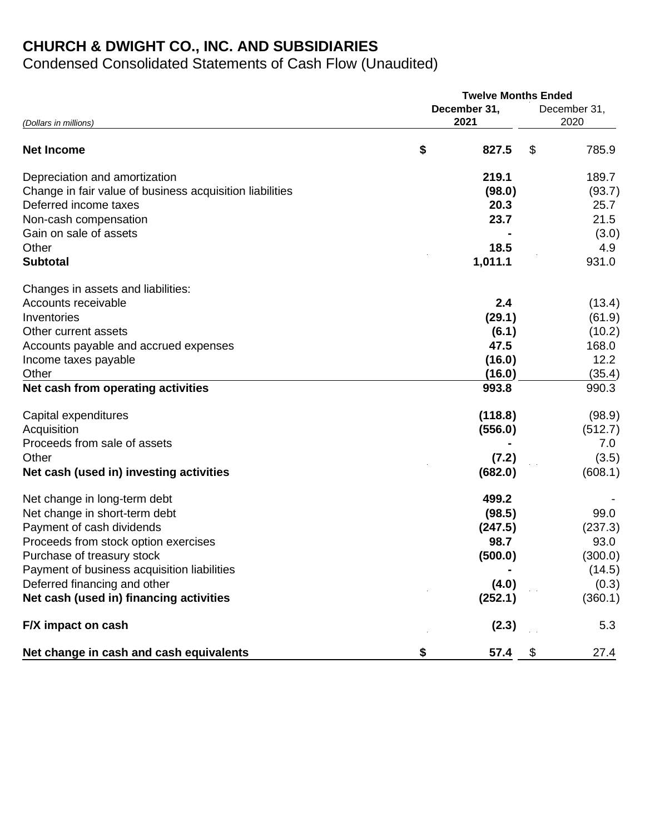# **CHURCH & DWIGHT CO., INC. AND SUBSIDIARIES**

Condensed Consolidated Statements of Cash Flow (Unaudited)

|                                                          | <b>Twelve Months Ended</b> |              |    |         |  |  |
|----------------------------------------------------------|----------------------------|--------------|----|---------|--|--|
|                                                          | December 31,               | December 31, |    |         |  |  |
| (Dollars in millions)                                    |                            | 2021         |    |         |  |  |
| <b>Net Income</b>                                        | \$                         | 827.5        | \$ | 785.9   |  |  |
| Depreciation and amortization                            |                            | 219.1        |    | 189.7   |  |  |
| Change in fair value of business acquisition liabilities |                            | (98.0)       |    | (93.7)  |  |  |
| Deferred income taxes                                    |                            | 20.3         |    | 25.7    |  |  |
| Non-cash compensation                                    |                            | 23.7         |    | 21.5    |  |  |
| Gain on sale of assets                                   |                            |              |    | (3.0)   |  |  |
| Other                                                    |                            | 18.5         |    | 4.9     |  |  |
| <b>Subtotal</b>                                          |                            | 1,011.1      |    | 931.0   |  |  |
| Changes in assets and liabilities:                       |                            |              |    |         |  |  |
| Accounts receivable                                      |                            | 2.4          |    | (13.4)  |  |  |
| Inventories                                              |                            | (29.1)       |    | (61.9)  |  |  |
| Other current assets                                     |                            | (6.1)        |    | (10.2)  |  |  |
| Accounts payable and accrued expenses                    |                            | 47.5         |    | 168.0   |  |  |
| Income taxes payable                                     |                            | (16.0)       |    | 12.2    |  |  |
| Other                                                    |                            | (16.0)       |    | (35.4)  |  |  |
| Net cash from operating activities                       |                            | 993.8        |    | 990.3   |  |  |
| Capital expenditures                                     |                            | (118.8)      |    | (98.9)  |  |  |
| Acquisition                                              |                            | (556.0)      |    | (512.7) |  |  |
| Proceeds from sale of assets                             |                            |              |    | 7.0     |  |  |
| Other                                                    |                            | (7.2)        |    | (3.5)   |  |  |
| Net cash (used in) investing activities                  |                            | (682.0)      |    | (608.1) |  |  |
| Net change in long-term debt                             |                            | 499.2        |    |         |  |  |
| Net change in short-term debt                            |                            | (98.5)       |    | 99.0    |  |  |
| Payment of cash dividends                                |                            | (247.5)      |    | (237.3) |  |  |
| Proceeds from stock option exercises                     |                            | 98.7         |    | 93.0    |  |  |
| Purchase of treasury stock                               |                            | (500.0)      |    | (300.0) |  |  |
| Payment of business acquisition liabilities              |                            |              |    | (14.5)  |  |  |
| Deferred financing and other                             |                            | (4.0)        |    | (0.3)   |  |  |
| Net cash (used in) financing activities                  |                            | (252.1)      |    | (360.1) |  |  |
| F/X impact on cash                                       |                            | (2.3)        |    | 5.3     |  |  |
| Net change in cash and cash equivalents                  | \$                         | 57.4         | \$ | 27.4    |  |  |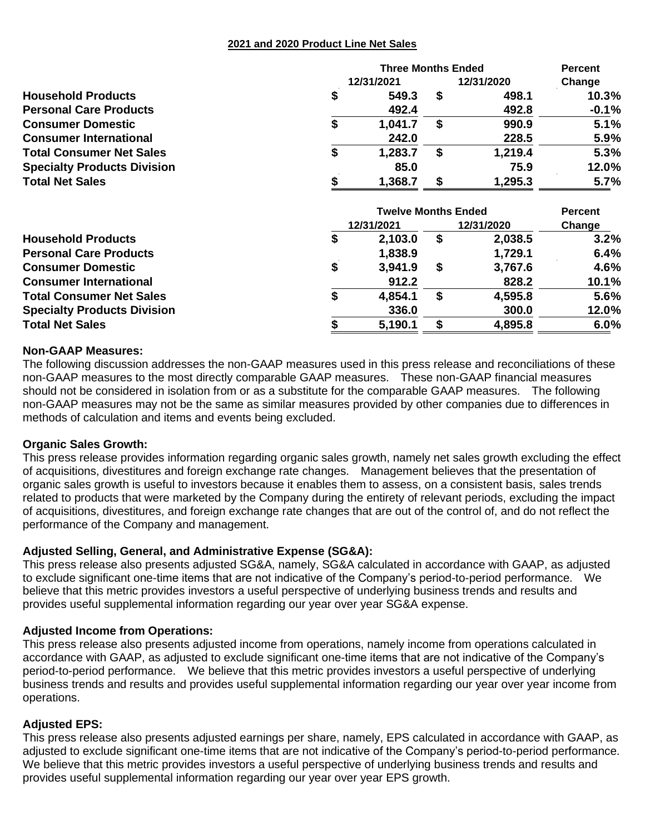#### **2021 and 2020 Product Line Net Sales**

|                                    |            | <b>Percent</b> |               |         |
|------------------------------------|------------|----------------|---------------|---------|
|                                    | 12/31/2021 | 12/31/2020     | Change        |         |
| <b>Household Products</b>          | \$         | 549.3          | \$<br>498.1   | 10.3%   |
| <b>Personal Care Products</b>      |            | 492.4          | 492.8         | $-0.1%$ |
| <b>Consumer Domestic</b>           | \$         | 1,041.7        | \$<br>990.9   | 5.1%    |
| <b>Consumer International</b>      |            | 242.0          | 228.5         | 5.9%    |
| <b>Total Consumer Net Sales</b>    | \$         | 1,283.7        | \$<br>1,219.4 | 5.3%    |
| <b>Specialty Products Division</b> |            | 85.0           | 75.9          | 12.0%   |
| <b>Total Net Sales</b>             | \$         | 1,368.7        | \$<br>1,295.3 | 5.7%    |
|                                    |            | <b>Percent</b> |               |         |
|                                    |            | 12/31/2021     | 12/31/2020    | Change  |
| <b>Household Products</b>          | \$         | 2,103.0        | \$<br>2,038.5 | 3.2%    |
| <b>Personal Care Products</b>      |            | 1,838.9        | 1,729.1       | 6.4%    |
| <b>Consumer Domestic</b>           | \$         | 3,941.9        | \$<br>3,767.6 | 4.6%    |
| <b>Consumer International</b>      |            | 912.2          | 828.2         | 10.1%   |
| <b>Total Consumer Net Sales</b>    | \$         | 4,854.1        | \$<br>4,595.8 | 5.6%    |
| <b>Specialty Products Division</b> |            | 336.0          | 300.0         | 12.0%   |
| <b>Total Net Sales</b>             | \$         | 5,190.1        | \$<br>4,895.8 | 6.0%    |

## **Non-GAAP Measures:**

The following discussion addresses the non-GAAP measures used in this press release and reconciliations of these non-GAAP measures to the most directly comparable GAAP measures. These non-GAAP financial measures should not be considered in isolation from or as a substitute for the comparable GAAP measures. The following non-GAAP measures may not be the same as similar measures provided by other companies due to differences in methods of calculation and items and events being excluded.

#### **Organic Sales Growth:**

This press release provides information regarding organic sales growth, namely net sales growth excluding the effect of acquisitions, divestitures and foreign exchange rate changes. Management believes that the presentation of organic sales growth is useful to investors because it enables them to assess, on a consistent basis, sales trends related to products that were marketed by the Company during the entirety of relevant periods, excluding the impact of acquisitions, divestitures, and foreign exchange rate changes that are out of the control of, and do not reflect the performance of the Company and management.

## **Adjusted Selling, General, and Administrative Expense (SG&A):**

This press release also presents adjusted SG&A, namely, SG&A calculated in accordance with GAAP, as adjusted to exclude significant one-time items that are not indicative of the Company's period-to-period performance. We believe that this metric provides investors a useful perspective of underlying business trends and results and provides useful supplemental information regarding our year over year SG&A expense.

#### **Adjusted Income from Operations:**

This press release also presents adjusted income from operations, namely income from operations calculated in accordance with GAAP, as adjusted to exclude significant one-time items that are not indicative of the Company's period-to-period performance. We believe that this metric provides investors a useful perspective of underlying business trends and results and provides useful supplemental information regarding our year over year income from operations.

## **Adjusted EPS:**

This press release also presents adjusted earnings per share, namely, EPS calculated in accordance with GAAP, as adjusted to exclude significant one-time items that are not indicative of the Company's period-to-period performance. We believe that this metric provides investors a useful perspective of underlying business trends and results and provides useful supplemental information regarding our year over year EPS growth.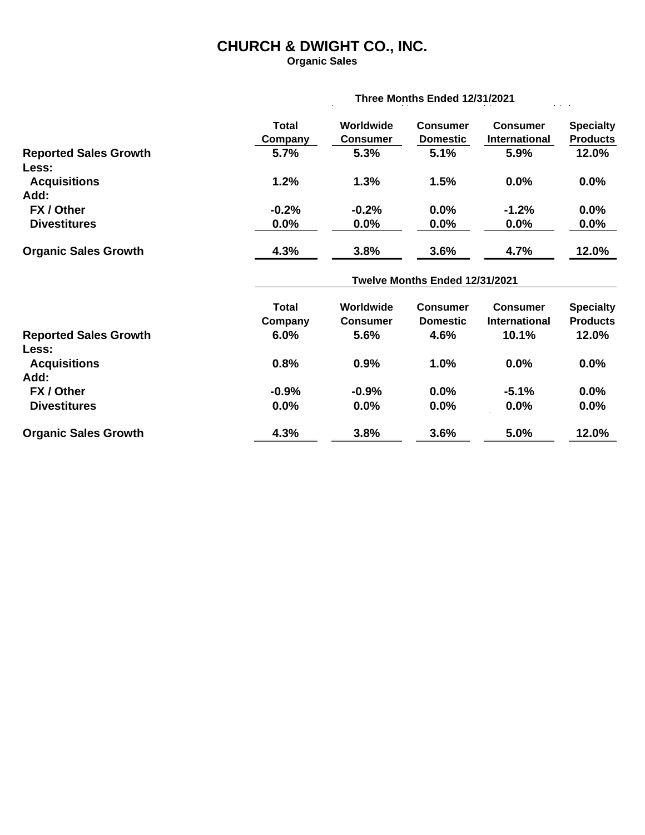## **CHURCH & DWIGHT CO., INC.**

**Organic Sales**

|                              | Three Months Ended 12/31/2021  |                              |                                    |                                         |                                     |  |  |
|------------------------------|--------------------------------|------------------------------|------------------------------------|-----------------------------------------|-------------------------------------|--|--|
|                              | <b>Total</b><br>Company        | Worldwide<br><b>Consumer</b> | <b>Consumer</b><br><b>Domestic</b> | <b>Consumer</b><br><b>International</b> | <b>Specialty</b><br><b>Products</b> |  |  |
| <b>Reported Sales Growth</b> | 5.7%                           | 5.3%                         | 5.1%                               | 5.9%                                    | 12.0%                               |  |  |
| Less:                        |                                |                              |                                    |                                         |                                     |  |  |
| <b>Acquisitions</b>          | 1.2%                           | 1.3%                         | 1.5%                               | $0.0\%$                                 | 0.0%                                |  |  |
| Add:                         |                                |                              |                                    |                                         |                                     |  |  |
| FX / Other                   | $-0.2%$                        | $-0.2%$                      | 0.0%                               | $-1.2%$                                 | 0.0%                                |  |  |
| <b>Divestitures</b>          | 0.0%                           | 0.0%                         | 0.0%                               | 0.0%                                    | 0.0%                                |  |  |
| <b>Organic Sales Growth</b>  | 4.3%                           | 3.8%                         | 3.6%                               | 4.7%                                    | 12.0%                               |  |  |
|                              | Twelve Months Ended 12/31/2021 |                              |                                    |                                         |                                     |  |  |
|                              | <b>Total</b>                   | Worldwide                    | <b>Consumer</b>                    | <b>Consumer</b>                         | <b>Specialty</b>                    |  |  |
|                              | Company                        | <b>Consumer</b>              | <b>Domestic</b>                    | <b>International</b>                    | <b>Products</b>                     |  |  |
| <b>Reported Sales Growth</b> | 6.0%                           | 5.6%                         | 4.6%                               | 10.1%                                   | 12.0%                               |  |  |
| Less:                        |                                |                              |                                    |                                         |                                     |  |  |
| <b>Acquisitions</b>          | 0.8%                           | 0.9%                         | 1.0%                               | 0.0%                                    | 0.0%                                |  |  |
| Add:                         |                                |                              |                                    |                                         |                                     |  |  |
| FX / Other                   | $-0.9%$                        | $-0.9%$                      | 0.0%                               | $-5.1%$                                 | $0.0\%$                             |  |  |
| <b>Divestitures</b>          | 0.0%                           | 0.0%                         | 0.0%                               | $0.0\%$                                 | 0.0%                                |  |  |
| <b>Organic Sales Growth</b>  | 4.3%                           | 3.8%                         | 3.6%                               | 5.0%                                    | 12.0%                               |  |  |